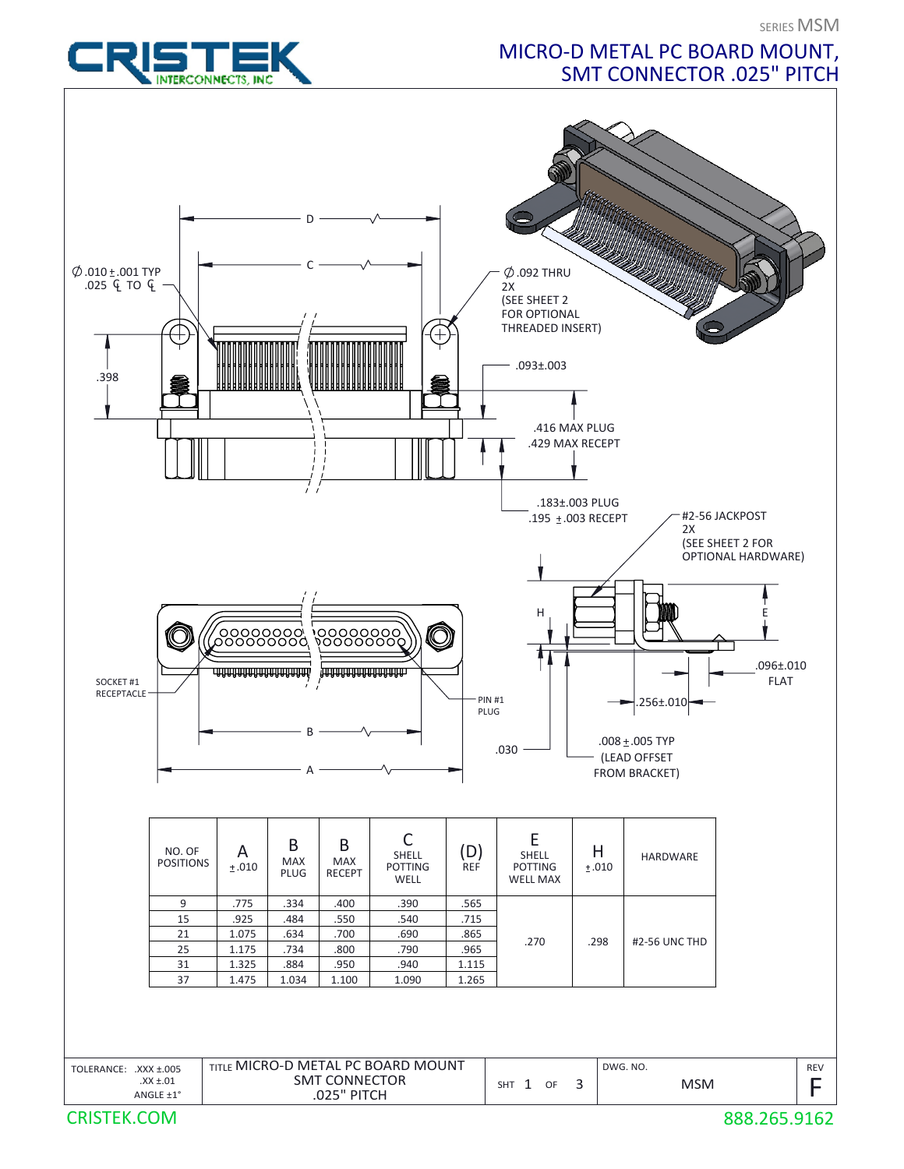## MICRO-D METAL PC BOARD MOUNT, SMT CONNECTOR .025" PITCH



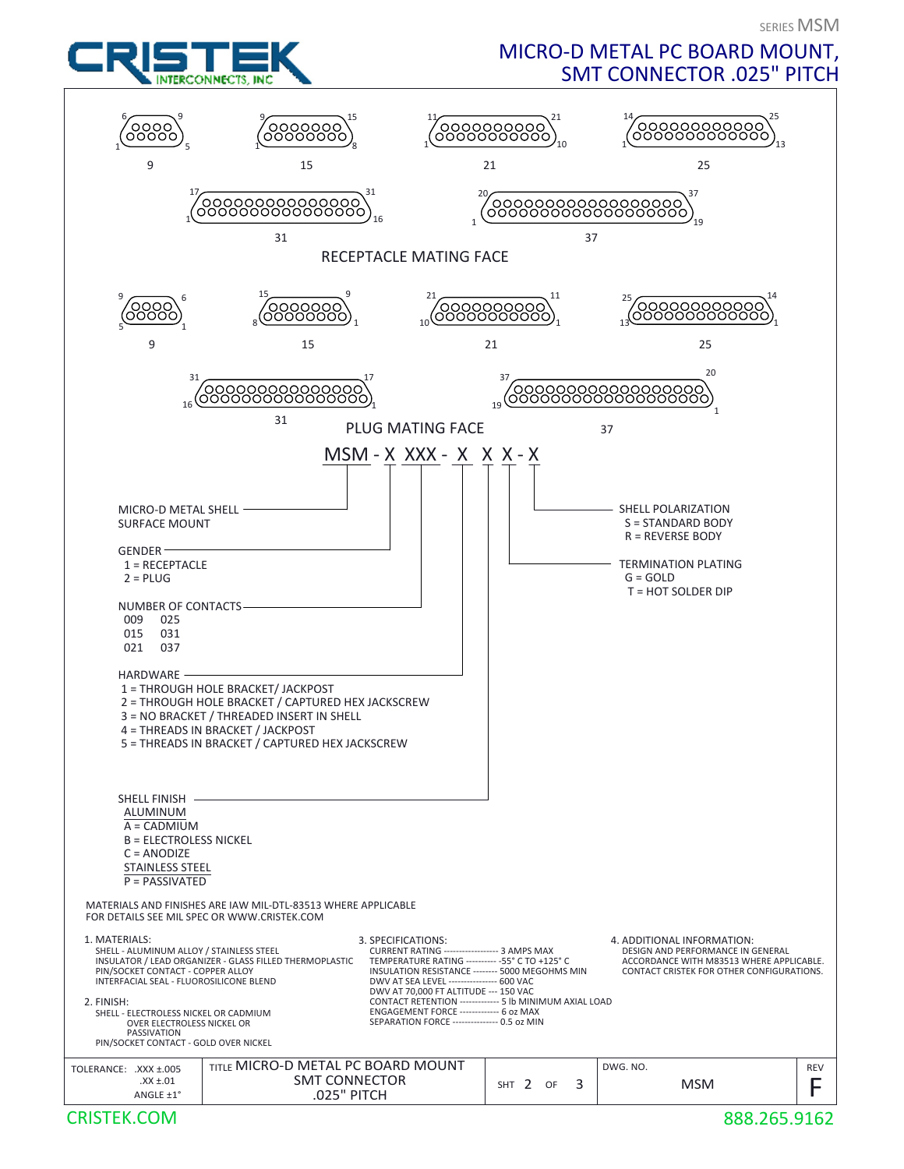

## MICRO-D METAL PC BOARD MOUNT, SMT CONNECTOR .025" PITCH